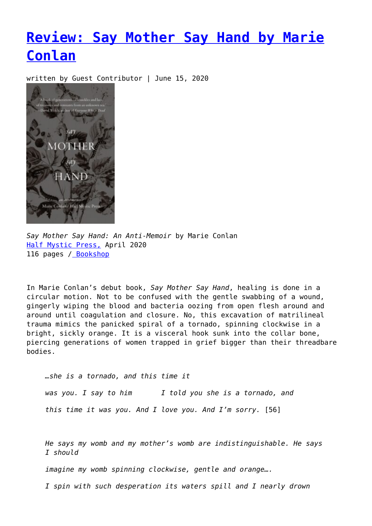## **[Review: Say Mother Say Hand by Marie](https://entropymag.org/say-mother-marie-conlan/) [Conlan](https://entropymag.org/say-mother-marie-conlan/)**

written by Guest Contributor | June 15, 2020



*Say Mother Say Hand: An Anti-Memoir* by Marie Conlan [Half Mystic Press,](https://www.halfmystic.com/bookshop/smsh) April 2020 116 pages [/ Bookshop](https://bookshop.org/books/say-mother-say-hand-an-anti-memoir/9781948552103?aid=3601)

In Marie Conlan's debut book, *Say Mother Say Hand*, healing is done in a circular motion. Not to be confused with the gentle swabbing of a wound, gingerly wiping the blood and bacteria oozing from open flesh around and around until coagulation and closure. No, this excavation of matrilineal trauma mimics the panicked spiral of a tornado, spinning clockwise in a bright, sickly orange. It is a visceral hook sunk into the collar bone, piercing generations of women trapped in grief bigger than their threadbare bodies.

*…she is a tornado, and this time it was you. I say to him I told you she is a tornado, and this time it was you. And I love you. And I'm sorry.* [56]

*He says my womb and my mother's womb are indistinguishable. He says I should*

*imagine my womb spinning clockwise, gentle and orange….*

*I spin with such desperation its waters spill and I nearly drown*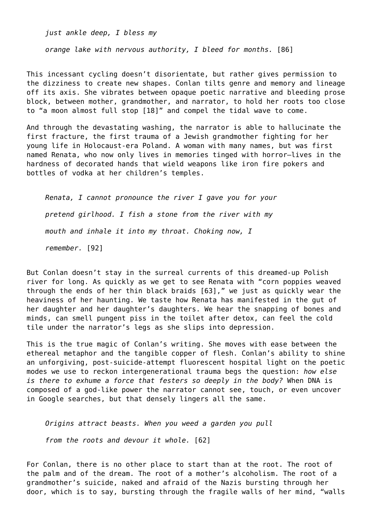*just ankle deep, I bless my*

*orange lake with nervous authority, I bleed for months.* [86]

This incessant cycling doesn't disorientate, but rather gives permission to the dizziness to create new shapes. Conlan tilts genre and memory and lineage off its axis. She vibrates between opaque poetic narrative and bleeding prose block, between mother, grandmother, and narrator, to hold her roots too close to "a moon almost full stop [18]" and compel the tidal wave to come.

And through the devastating washing, the narrator is able to hallucinate the first fracture, the first trauma of a Jewish grandmother fighting for her young life in Holocaust-era Poland. A woman with many names, but was first named Renata, who now only lives in memories tinged with horror—lives in the hardness of decorated hands that wield weapons like iron fire pokers and bottles of vodka at her children's temples.

*Renata, I cannot pronounce the river I gave you for your pretend girlhood. I fish a stone from the river with my mouth and inhale it into my throat. Choking now, I remember.* [92]

But Conlan doesn't stay in the surreal currents of this dreamed-up Polish river for long. As quickly as we get to see Renata with "corn poppies weaved through the ends of her thin black braids [63]," we just as quickly wear the heaviness of her haunting. We taste how Renata has manifested in the gut of her daughter and her daughter's daughters. We hear the snapping of bones and minds, can smell pungent piss in the toilet after detox, can feel the cold tile under the narrator's legs as she slips into depression.

This is the true magic of Conlan's writing. She moves with ease between the ethereal metaphor and the tangible copper of flesh. Conlan's ability to shine an unforgiving, post-suicide-attempt fluorescent hospital light on the poetic modes we use to reckon intergenerational trauma begs the question: *how else is there to exhume a force that festers so deeply in the body?* When DNA is composed of a god-like power the narrator cannot see, touch, or even uncover in Google searches, but that densely lingers all the same.

*Origins attract beasts. When you weed a garden you pull*

*from the roots and devour it whole.* [62]

For Conlan, there is no other place to start than at the root. The root of the palm and of the dream. The root of a mother's alcoholism. The root of a grandmother's suicide, naked and afraid of the Nazis bursting through her door, which is to say, bursting through the fragile walls of her mind, "walls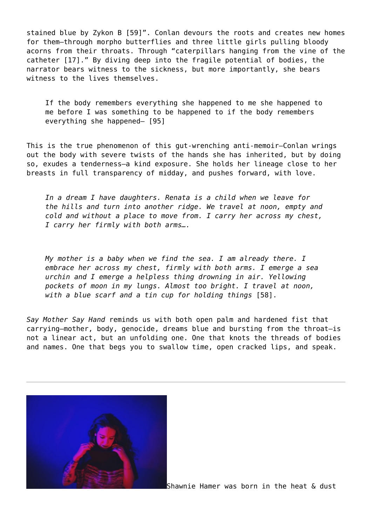stained blue by Zykon B [59]". Conlan devours the roots and creates new homes for them—through morpho butterflies and three little girls pulling bloody acorns from their throats. Through "caterpillars hanging from the vine of the catheter [17]." By diving deep into the fragile potential of bodies, the narrator bears witness to the sickness, but more importantly, she bears witness to the lives themselves.

If the body remembers everything she happened to me she happened to me before I was something to be happened to if the body remembers everything she happened— [95]

This is the true phenomenon of this gut-wrenching anti-memoir—Conlan wrings out the body with severe twists of the hands she has inherited, but by doing so, exudes a tenderness—a kind exposure. She holds her lineage close to her breasts in full transparency of midday, and pushes forward, with love.

*In a dream I have daughters. Renata is a child when we leave for the hills and turn into another ridge. We travel at noon, empty and cold and without a place to move from. I carry her across my chest, I carry her firmly with both arms….*

*My mother is a baby when we find the sea. I am already there. I embrace her across my chest, firmly with both arms. I emerge a sea urchin and I emerge a helpless thing drowning in air. Yellowing pockets of moon in my lungs. Almost too bright. I travel at noon, with a blue scarf and a tin cup for holding things* [58].

*Say Mother Say Hand* reminds us with both open palm and hardened fist that carrying—mother, body, genocide, dreams blue and bursting from the throat—is not a linear act, but an unfolding one. One that knots the threads of bodies and names. One that begs you to swallow time, open cracked lips, and speak.